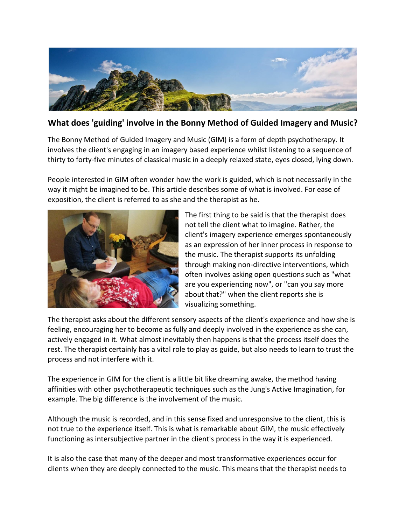

## **What does 'guiding' involve in the Bonny Method of Guided Imagery and Music?**

The Bonny Method of Guided Imagery and Music (GIM) is a form of depth psychotherapy. It involves the client's engaging in an imagery based experience whilst listening to a sequence of thirty to forty-five minutes of classical music in a deeply relaxed state, eyes closed, lying down.

People interested in GIM often wonder how the work is guided, which is not necessarily in the way it might be imagined to be. This article describes some of what is involved. For ease of exposition, the client is referred to as she and the therapist as he.



The first thing to be said is that the therapist does not tell the client what to imagine. Rather, the client's imagery experience emerges spontaneously as an expression of her inner process in response to the music. The therapist supports its unfolding through making non-directive interventions, which often involves asking open questions such as "what are you experiencing now", or "can you say more about that?" when the client reports she is visualizing something.

The therapist asks about the different sensory aspects of the client's experience and how she is feeling, encouraging her to become as fully and deeply involved in the experience as she can, actively engaged in it. What almost inevitably then happens is that the process itself does the rest. The therapist certainly has a vital role to play as guide, but also needs to learn to trust the process and not interfere with it.

The experience in GIM for the client is a little bit like dreaming awake, the method having affinities with other psychotherapeutic techniques such as the Jung's Active Imagination, for example. The big difference is the involvement of the music.

Although the music is recorded, and in this sense fixed and unresponsive to the client, this is not true to the experience itself. This is what is remarkable about GIM, the music effectively functioning as intersubjective partner in the client's process in the way it is experienced.

It is also the case that many of the deeper and most transformative experiences occur for clients when they are deeply connected to the music. This means that the therapist needs to